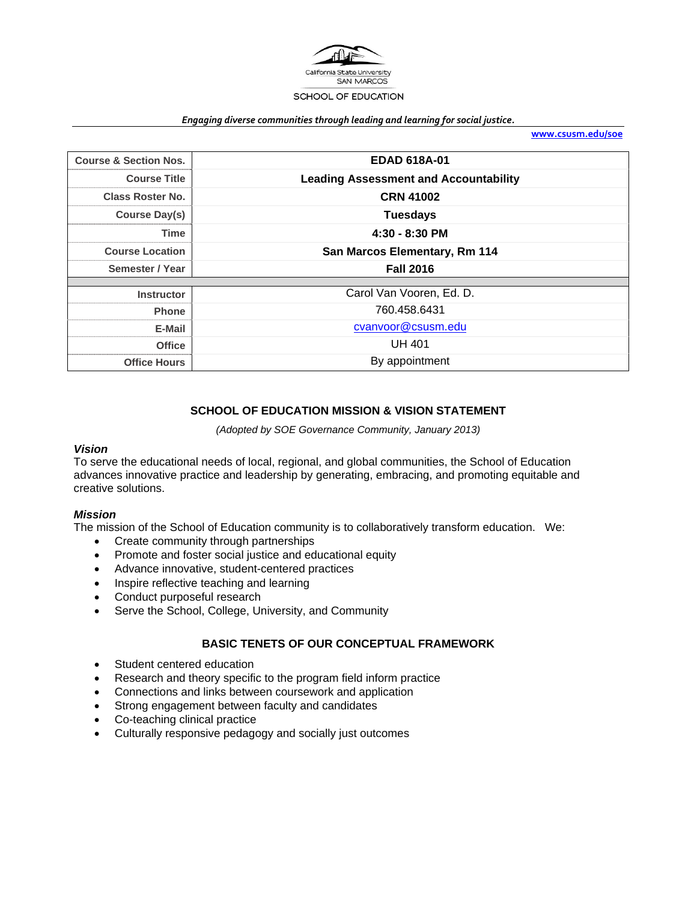

#### *Engaging diverse communities through leading and learning for social justice.*

**www.csusm.edu/soe**

| <b>Course &amp; Section Nos.</b> | <b>EDAD 618A-01</b>                          |  |
|----------------------------------|----------------------------------------------|--|
| <b>Course Title</b>              | <b>Leading Assessment and Accountability</b> |  |
| Class Roster No.                 | <b>CRN 41002</b>                             |  |
| Course Day(s)                    | <b>Tuesdays</b>                              |  |
| <b>Time</b>                      | $4:30 - 8:30$ PM                             |  |
| <b>Course Location</b>           | San Marcos Elementary, Rm 114                |  |
| Semester / Year                  | <b>Fall 2016</b>                             |  |
|                                  |                                              |  |
| <b>Instructor</b>                | Carol Van Vooren, Ed. D.                     |  |
| <b>Phone</b>                     | 760.458.6431                                 |  |
| E-Mail                           | cvanvoor@csusm.edu                           |  |
| <b>Office</b>                    | <b>UH 401</b>                                |  |
| <b>Office Hours</b>              | By appointment                               |  |

# **SCHOOL OF EDUCATION MISSION & VISION STATEMENT**

*(Adopted by SOE Governance Community, January 2013)* 

### *Vision*

To serve the educational needs of local, regional, and global communities, the School of Education advances innovative practice and leadership by generating, embracing, and promoting equitable and creative solutions.

### *Mission*

The mission of the School of Education community is to collaboratively transform education. We:

- Create community through partnerships
- Promote and foster social justice and educational equity
- Advance innovative, student-centered practices
- Inspire reflective teaching and learning
- Conduct purposeful research
- Serve the School, College, University, and Community

### **BASIC TENETS OF OUR CONCEPTUAL FRAMEWORK**

- Student centered education
- Research and theory specific to the program field inform practice
- Connections and links between coursework and application
- Strong engagement between faculty and candidates
- Co-teaching clinical practice
- Culturally responsive pedagogy and socially just outcomes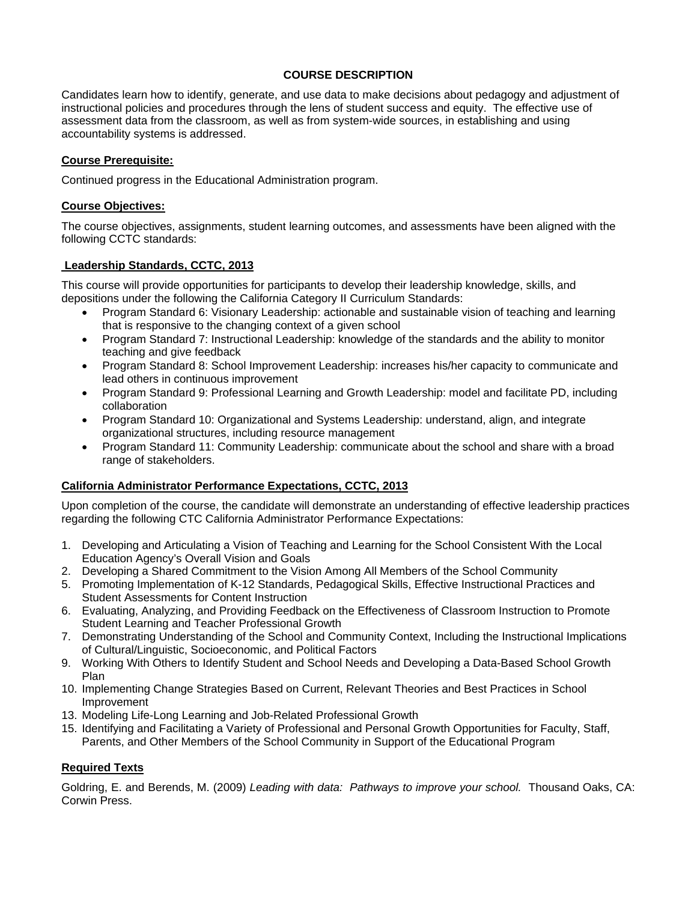## **COURSE DESCRIPTION**

Candidates learn how to identify, generate, and use data to make decisions about pedagogy and adjustment of instructional policies and procedures through the lens of student success and equity. The effective use of assessment data from the classroom, as well as from system-wide sources, in establishing and using accountability systems is addressed.

## **Course Prerequisite:**

Continued progress in the Educational Administration program.

## **Course Objectives:**

The course objectives, assignments, student learning outcomes, and assessments have been aligned with the following CCTC standards:

## **Leadership Standards, CCTC, 2013**

This course will provide opportunities for participants to develop their leadership knowledge, skills, and depositions under the following the California Category II Curriculum Standards:

- Program Standard 6: Visionary Leadership: actionable and sustainable vision of teaching and learning that is responsive to the changing context of a given school
- Program Standard 7: Instructional Leadership: knowledge of the standards and the ability to monitor teaching and give feedback
- Program Standard 8: School Improvement Leadership: increases his/her capacity to communicate and lead others in continuous improvement
- Program Standard 9: Professional Learning and Growth Leadership: model and facilitate PD, including collaboration
- Program Standard 10: Organizational and Systems Leadership: understand, align, and integrate organizational structures, including resource management
- Program Standard 11: Community Leadership: communicate about the school and share with a broad range of stakeholders.

# **California Administrator Performance Expectations, CCTC, 2013**

Upon completion of the course, the candidate will demonstrate an understanding of effective leadership practices regarding the following CTC California Administrator Performance Expectations:

- 1. Developing and Articulating a Vision of Teaching and Learning for the School Consistent With the Local Education Agency's Overall Vision and Goals
- 2. Developing a Shared Commitment to the Vision Among All Members of the School Community
- 5. Promoting Implementation of K-12 Standards, Pedagogical Skills, Effective Instructional Practices and Student Assessments for Content Instruction
- 6. Evaluating, Analyzing, and Providing Feedback on the Effectiveness of Classroom Instruction to Promote Student Learning and Teacher Professional Growth
- 7. Demonstrating Understanding of the School and Community Context, Including the Instructional Implications of Cultural/Linguistic, Socioeconomic, and Political Factors
- 9. Working With Others to Identify Student and School Needs and Developing a Data-Based School Growth Plan
- 10. Implementing Change Strategies Based on Current, Relevant Theories and Best Practices in School Improvement
- 13. Modeling Life-Long Learning and Job-Related Professional Growth
- 15. Identifying and Facilitating a Variety of Professional and Personal Growth Opportunities for Faculty, Staff, Parents, and Other Members of the School Community in Support of the Educational Program

# **Required Texts**

Goldring, E. and Berends, M. (2009) *Leading with data: Pathways to improve your school.* Thousand Oaks, CA: Corwin Press.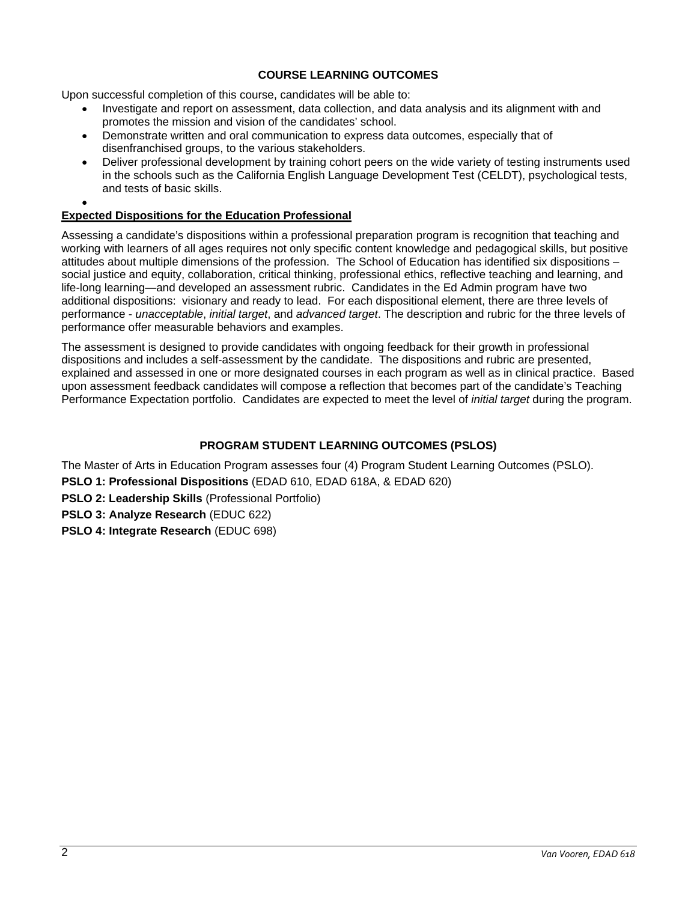# **COURSE LEARNING OUTCOMES**

Upon successful completion of this course, candidates will be able to:

- Investigate and report on assessment, data collection, and data analysis and its alignment with and promotes the mission and vision of the candidates' school.
- Demonstrate written and oral communication to express data outcomes, especially that of disenfranchised groups, to the various stakeholders.
- Deliver professional development by training cohort peers on the wide variety of testing instruments used in the schools such as the California English Language Development Test (CELDT), psychological tests, and tests of basic skills.
- $\bullet$

## **Expected Dispositions for the Education Professional**

Assessing a candidate's dispositions within a professional preparation program is recognition that teaching and working with learners of all ages requires not only specific content knowledge and pedagogical skills, but positive attitudes about multiple dimensions of the profession. The School of Education has identified six dispositions – social justice and equity, collaboration, critical thinking, professional ethics, reflective teaching and learning, and life-long learning—and developed an assessment rubric. Candidates in the Ed Admin program have two additional dispositions: visionary and ready to lead. For each dispositional element, there are three levels of performance - *unacceptable*, *initial target*, and *advanced target*. The description and rubric for the three levels of performance offer measurable behaviors and examples.

The assessment is designed to provide candidates with ongoing feedback for their growth in professional dispositions and includes a self-assessment by the candidate. The dispositions and rubric are presented, explained and assessed in one or more designated courses in each program as well as in clinical practice. Based upon assessment feedback candidates will compose a reflection that becomes part of the candidate's Teaching Performance Expectation portfolio. Candidates are expected to meet the level of *initial target* during the program.

## **PROGRAM STUDENT LEARNING OUTCOMES (PSLOS)**

The Master of Arts in Education Program assesses four (4) Program Student Learning Outcomes (PSLO).

**PSLO 1: Professional Dispositions** (EDAD 610, EDAD 618A, & EDAD 620)

**PSLO 2: Leadership Skills** (Professional Portfolio)

**PSLO 3: Analyze Research** (EDUC 622)

**PSLO 4: Integrate Research** (EDUC 698)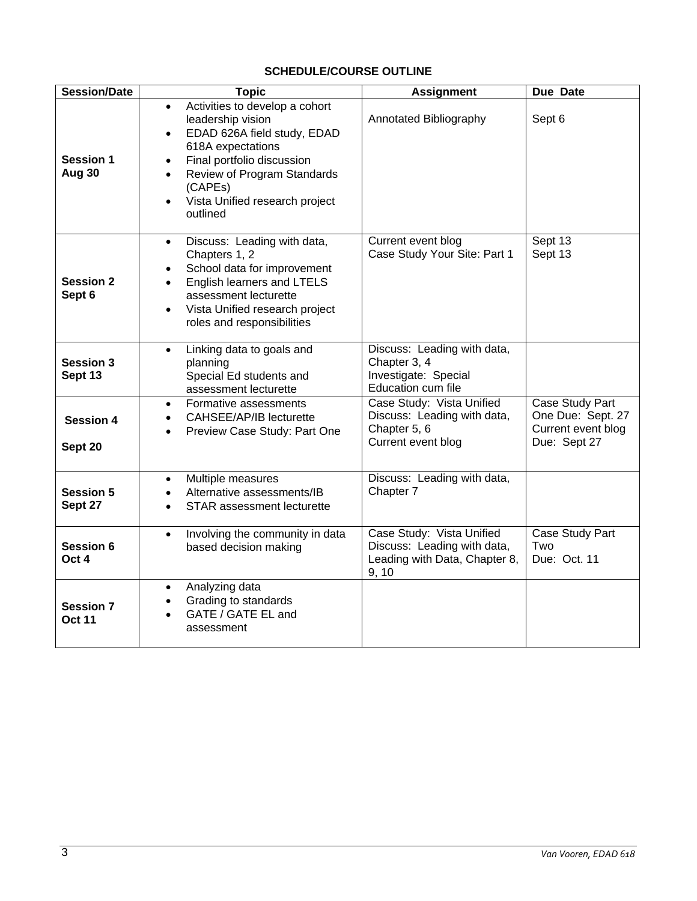# **SCHEDULE/COURSE OUTLINE**

| <b>Session/Date</b>               | <b>Topic</b>                                                                                                                                                                                                                                                                                   | <b>Assignment</b>                                                                                  | Due Date                                                                   |
|-----------------------------------|------------------------------------------------------------------------------------------------------------------------------------------------------------------------------------------------------------------------------------------------------------------------------------------------|----------------------------------------------------------------------------------------------------|----------------------------------------------------------------------------|
| <b>Session 1</b><br>Aug 30        | Activities to develop a cohort<br>$\bullet$<br>leadership vision<br>EDAD 626A field study, EDAD<br>$\bullet$<br>618A expectations<br>Final portfolio discussion<br>$\bullet$<br>Review of Program Standards<br>$\bullet$<br>(CAPEs)<br>Vista Unified research project<br>$\bullet$<br>outlined | Annotated Bibliography                                                                             | Sept 6                                                                     |
| <b>Session 2</b><br>Sept 6        | Discuss: Leading with data,<br>$\bullet$<br>Chapters 1, 2<br>School data for improvement<br>English learners and LTELS<br>$\bullet$<br>assessment lecturette<br>Vista Unified research project<br>$\bullet$<br>roles and responsibilities                                                      | Current event blog<br>Case Study Your Site: Part 1                                                 | Sept 13<br>Sept 13                                                         |
| <b>Session 3</b><br>Sept 13       | Linking data to goals and<br>$\bullet$<br>planning<br>Special Ed students and<br>assessment lecturette                                                                                                                                                                                         | Discuss: Leading with data,<br>Chapter 3, 4<br>Investigate: Special<br>Education cum file          |                                                                            |
| <b>Session 4</b><br>Sept 20       | Formative assessments<br>$\bullet$<br>CAHSEE/AP/IB lecturette<br>Preview Case Study: Part One<br>$\bullet$                                                                                                                                                                                     | Case Study: Vista Unified<br>Discuss: Leading with data,<br>Chapter 5, 6<br>Current event blog     | Case Study Part<br>One Due: Sept. 27<br>Current event blog<br>Due: Sept 27 |
| <b>Session 5</b><br>Sept 27       | Multiple measures<br>$\bullet$<br>Alternative assessments/IB<br>STAR assessment lecturette<br>$\bullet$                                                                                                                                                                                        | Discuss: Leading with data,<br>Chapter 7                                                           |                                                                            |
| Session 6<br>Oct 4                | Involving the community in data<br>$\bullet$<br>based decision making                                                                                                                                                                                                                          | Case Study: Vista Unified<br>Discuss: Leading with data,<br>Leading with Data, Chapter 8,<br>9, 10 | Case Study Part<br>Two<br>Due: Oct. 11                                     |
| <b>Session 7</b><br><b>Oct 11</b> | Analyzing data<br>٠<br>Grading to standards<br>GATE / GATE EL and<br>assessment                                                                                                                                                                                                                |                                                                                                    |                                                                            |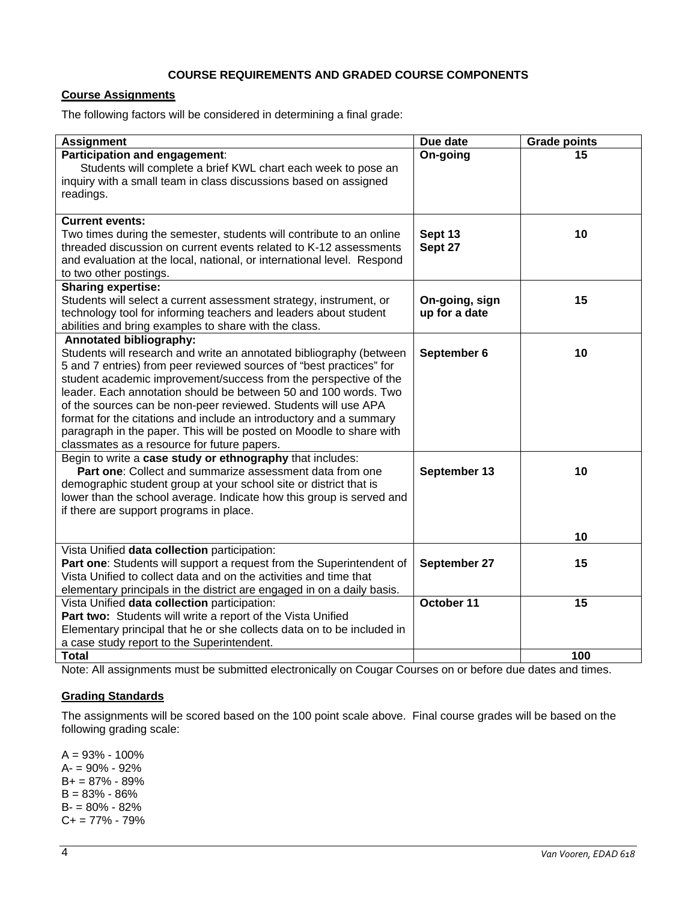## **COURSE REQUIREMENTS AND GRADED COURSE COMPONENTS**

## **Course Assignments**

The following factors will be considered in determining a final grade:

| <b>Assignment</b>                                                                                                                                                                                                                                                                                                                                                                                                                                                                                                                                                                 | Due date                        | <b>Grade points</b> |
|-----------------------------------------------------------------------------------------------------------------------------------------------------------------------------------------------------------------------------------------------------------------------------------------------------------------------------------------------------------------------------------------------------------------------------------------------------------------------------------------------------------------------------------------------------------------------------------|---------------------------------|---------------------|
| Participation and engagement:<br>Students will complete a brief KWL chart each week to pose an<br>inquiry with a small team in class discussions based on assigned<br>readings.                                                                                                                                                                                                                                                                                                                                                                                                   | On-going                        | 15                  |
| <b>Current events:</b><br>Two times during the semester, students will contribute to an online<br>threaded discussion on current events related to K-12 assessments<br>and evaluation at the local, national, or international level. Respond<br>to two other postings.                                                                                                                                                                                                                                                                                                           | Sept 13<br>Sept 27              | 10                  |
| <b>Sharing expertise:</b><br>Students will select a current assessment strategy, instrument, or<br>technology tool for informing teachers and leaders about student<br>abilities and bring examples to share with the class.                                                                                                                                                                                                                                                                                                                                                      | On-going, sign<br>up for a date | 15                  |
| <b>Annotated bibliography:</b><br>Students will research and write an annotated bibliography (between<br>5 and 7 entries) from peer reviewed sources of "best practices" for<br>student academic improvement/success from the perspective of the<br>leader. Each annotation should be between 50 and 100 words. Two<br>of the sources can be non-peer reviewed. Students will use APA<br>format for the citations and include an introductory and a summary<br>paragraph in the paper. This will be posted on Moodle to share with<br>classmates as a resource for future papers. | September 6                     | 10                  |
| Begin to write a case study or ethnography that includes:<br>Part one: Collect and summarize assessment data from one<br>demographic student group at your school site or district that is<br>lower than the school average. Indicate how this group is served and<br>if there are support programs in place.                                                                                                                                                                                                                                                                     | September 13                    | 10<br>10            |
| Vista Unified data collection participation:<br>Part one: Students will support a request from the Superintendent of<br>Vista Unified to collect data and on the activities and time that<br>elementary principals in the district are engaged in on a daily basis.                                                                                                                                                                                                                                                                                                               | September 27                    | 15                  |
| Vista Unified data collection participation:<br>Part two: Students will write a report of the Vista Unified<br>Elementary principal that he or she collects data on to be included in<br>a case study report to the Superintendent.                                                                                                                                                                                                                                                                                                                                               | October 11                      | 15                  |
| <b>Total</b>                                                                                                                                                                                                                                                                                                                                                                                                                                                                                                                                                                      |                                 | 100                 |

Note: All assignments must be submitted electronically on Cougar Courses on or before due dates and times.

## **Grading Standards**

The assignments will be scored based on the 100 point scale above. Final course grades will be based on the following grading scale:

A = 93% - 100% A- = 90% - 92%  $B+ = 87\% - 89\%$ B = 83% - 86% B- = 80% - 82%  $C+= 77\% - 79\%$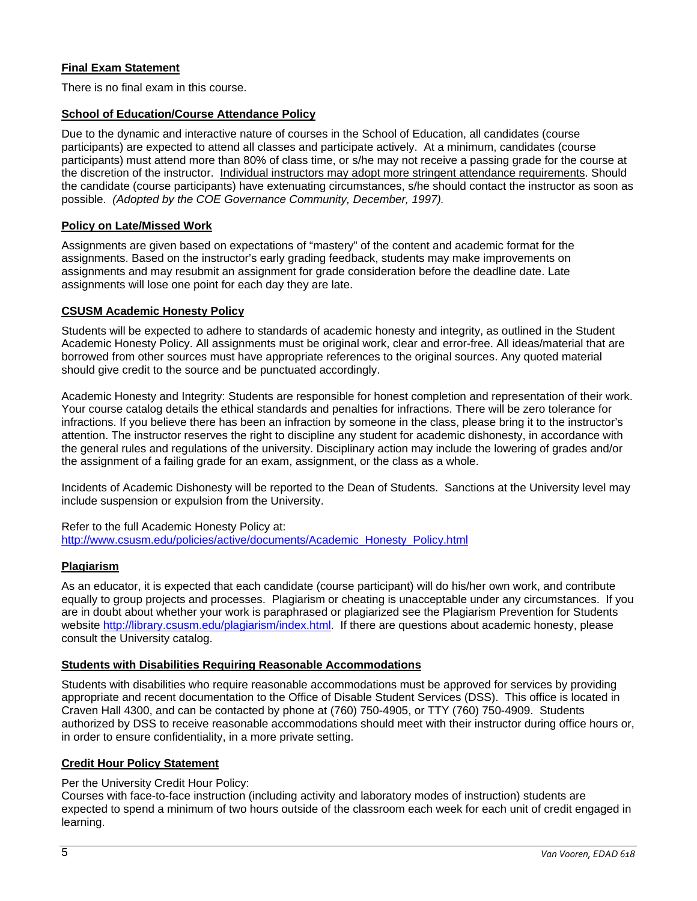## **Final Exam Statement**

There is no final exam in this course.

### **School of Education/Course Attendance Policy**

Due to the dynamic and interactive nature of courses in the School of Education, all candidates (course participants) are expected to attend all classes and participate actively. At a minimum, candidates (course participants) must attend more than 80% of class time, or s/he may not receive a passing grade for the course at the discretion of the instructor. Individual instructors may adopt more stringent attendance requirements. Should the candidate (course participants) have extenuating circumstances, s/he should contact the instructor as soon as possible. *(Adopted by the COE Governance Community, December, 1997).*

### **Policy on Late/Missed Work**

Assignments are given based on expectations of "mastery" of the content and academic format for the assignments. Based on the instructor's early grading feedback, students may make improvements on assignments and may resubmit an assignment for grade consideration before the deadline date. Late assignments will lose one point for each day they are late.

### **CSUSM Academic Honesty Policy**

Students will be expected to adhere to standards of academic honesty and integrity, as outlined in the Student Academic Honesty Policy. All assignments must be original work, clear and error-free. All ideas/material that are borrowed from other sources must have appropriate references to the original sources. Any quoted material should give credit to the source and be punctuated accordingly.

Academic Honesty and Integrity: Students are responsible for honest completion and representation of their work. Your course catalog details the ethical standards and penalties for infractions. There will be zero tolerance for infractions. If you believe there has been an infraction by someone in the class, please bring it to the instructor's attention. The instructor reserves the right to discipline any student for academic dishonesty, in accordance with the general rules and regulations of the university. Disciplinary action may include the lowering of grades and/or the assignment of a failing grade for an exam, assignment, or the class as a whole.

Incidents of Academic Dishonesty will be reported to the Dean of Students. Sanctions at the University level may include suspension or expulsion from the University.

Refer to the full Academic Honesty Policy at: http://www.csusm.edu/policies/active/documents/Academic\_Honesty\_Policy.html

## **Plagiarism**

As an educator, it is expected that each candidate (course participant) will do his/her own work, and contribute equally to group projects and processes. Plagiarism or cheating is unacceptable under any circumstances. If you are in doubt about whether your work is paraphrased or plagiarized see the Plagiarism Prevention for Students website http://library.csusm.edu/plagiarism/index.html. If there are questions about academic honesty, please consult the University catalog.

## **Students with Disabilities Requiring Reasonable Accommodations**

Students with disabilities who require reasonable accommodations must be approved for services by providing appropriate and recent documentation to the Office of Disable Student Services (DSS). This office is located in Craven Hall 4300, and can be contacted by phone at (760) 750-4905, or TTY (760) 750-4909. Students authorized by DSS to receive reasonable accommodations should meet with their instructor during office hours or, in order to ensure confidentiality, in a more private setting.

## **Credit Hour Policy Statement**

Per the University Credit Hour Policy:

Courses with face-to-face instruction (including activity and laboratory modes of instruction) students are expected to spend a minimum of two hours outside of the classroom each week for each unit of credit engaged in learning.